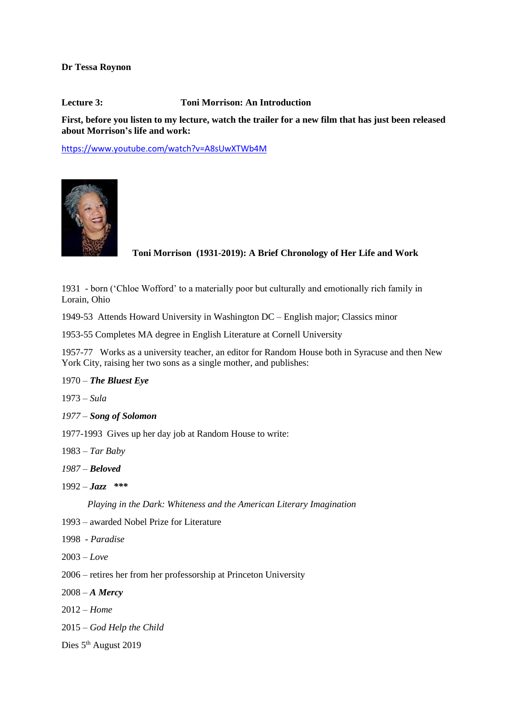**Dr Tessa Roynon**

**Lecture 3: Toni Morrison: An Introduction**

**First, before you listen to my lecture, watch the trailer for a new film that has just been released about Morrison's life and work:**

<https://www.youtube.com/watch?v=A8sUwXTWb4M>



**Toni Morrison (1931-2019): A Brief Chronology of Her Life and Work**

1931 - born ('Chloe Wofford' to a materially poor but culturally and emotionally rich family in Lorain, Ohio

1949-53 Attends Howard University in Washington DC – English major; Classics minor

1953-55 Completes MA degree in English Literature at Cornell University

1957-77 Works as a university teacher, an editor for Random House both in Syracuse and then New York City, raising her two sons as a single mother, and publishes:

## 1970 – *The Bluest Eye*

1973 – *Sula*

*1977 – Song of Solomon*

1977-1993 Gives up her day job at Random House to write:

1983 – *Tar Baby*

*1987 – Beloved*

 $1992 - \text{Jazz}$  \*\*\*

*Playing in the Dark: Whiteness and the American Literary Imagination*

- 1993 awarded Nobel Prize for Literature
- 1998 *Paradise*
- 2003 *Love*
- 2006 retires her from her professorship at Princeton University
- 2008 *A Mercy*
- 2012 *Home*
- 2015 *God Help the Child*
- Dies 5<sup>th</sup> August 2019